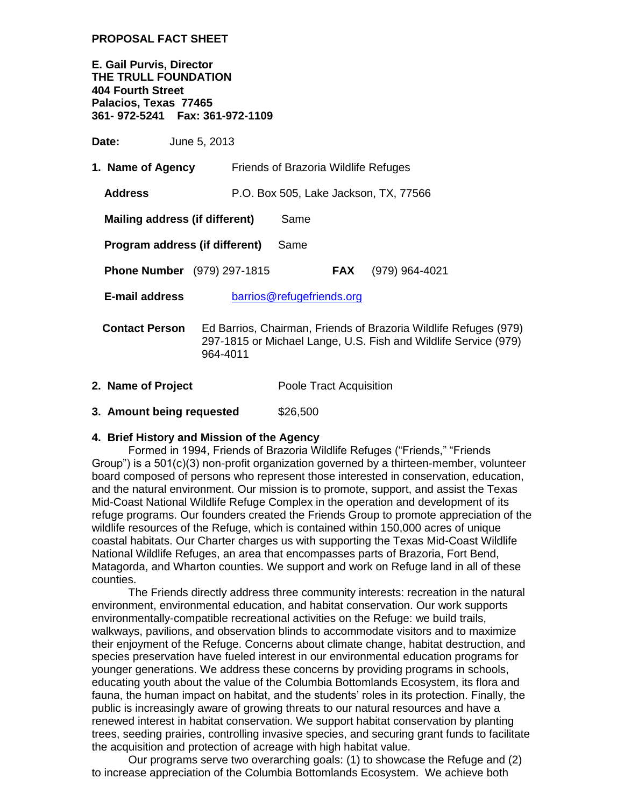## **PROPOSAL FACT SHEET**

**E. Gail Purvis, Director THE TRULL FOUNDATION 404 Fourth Street Palacios, Texas 77465 361- 972-5241 Fax: 361-972-1109**

**Date:** June 5, 2013

| 1. Name of Agency                                  | Friends of Brazoria Wildlife Refuges                                                                                                            |                                       |                |  |
|----------------------------------------------------|-------------------------------------------------------------------------------------------------------------------------------------------------|---------------------------------------|----------------|--|
| <b>Address</b>                                     |                                                                                                                                                 | P.O. Box 505, Lake Jackson, TX, 77566 |                |  |
| Mailing address (if different)<br>Same             |                                                                                                                                                 |                                       |                |  |
| Program address (if different)<br>Same             |                                                                                                                                                 |                                       |                |  |
| <b>Phone Number</b> (979) 297-1815                 |                                                                                                                                                 | <b>FAX</b>                            | (979) 964-4021 |  |
| <b>E-mail address</b><br>barrios@refugefriends.org |                                                                                                                                                 |                                       |                |  |
| <b>Contact Person</b>                              | Ed Barrios, Chairman, Friends of Brazoria Wildlife Refuges (979)<br>297-1815 or Michael Lange, U.S. Fish and Wildlife Service (979)<br>964-4011 |                                       |                |  |

- **2. Name of Project** Poole Tract Acquisition
- **3. Amount being requested**  $$26,500$

## **4. Brief History and Mission of the Agency**

Formed in 1994, Friends of Brazoria Wildlife Refuges ("Friends," "Friends Group") is a 501(c)(3) non-profit organization governed by a thirteen-member, volunteer board composed of persons who represent those interested in conservation, education, and the natural environment. Our mission is to promote, support, and assist the Texas Mid-Coast National Wildlife Refuge Complex in the operation and development of its refuge programs. Our founders created the Friends Group to promote appreciation of the wildlife resources of the Refuge, which is contained within 150,000 acres of unique coastal habitats. Our Charter charges us with supporting the Texas Mid-Coast Wildlife National Wildlife Refuges, an area that encompasses parts of Brazoria, Fort Bend, Matagorda, and Wharton counties. We support and work on Refuge land in all of these counties.

The Friends directly address three community interests: recreation in the natural environment, environmental education, and habitat conservation. Our work supports environmentally-compatible recreational activities on the Refuge: we build trails, walkways, pavilions, and observation blinds to accommodate visitors and to maximize their enjoyment of the Refuge. Concerns about climate change, habitat destruction, and species preservation have fueled interest in our environmental education programs for younger generations. We address these concerns by providing programs in schools, educating youth about the value of the Columbia Bottomlands Ecosystem, its flora and fauna, the human impact on habitat, and the students' roles in its protection. Finally, the public is increasingly aware of growing threats to our natural resources and have a renewed interest in habitat conservation. We support habitat conservation by planting trees, seeding prairies, controlling invasive species, and securing grant funds to facilitate the acquisition and protection of acreage with high habitat value.

Our programs serve two overarching goals: (1) to showcase the Refuge and (2) to increase appreciation of the Columbia Bottomlands Ecosystem. We achieve both